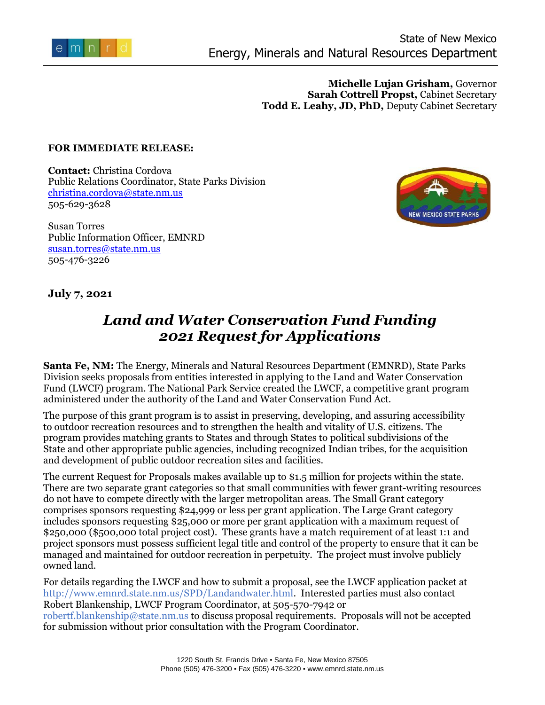

**Michelle Lujan Grisham,** Governor **Sarah Cottrell Propst,** Cabinet Secretary **Todd E. Leahy, JD, PhD,** Deputy Cabinet Secretary

## **FOR IMMEDIATE RELEASE:**

**Contact:** Christina Cordova Public Relations Coordinator, State Parks Division [christina.cordova@state.nm.us](mailto:christina.cordova@state.nm.us) 505-629-3628

Susan Torres Public Information Officer, EMNRD [susan.torres@state.nm.us](mailto:susan.torres@state.nm.us) 505-476-3226



## **July 7, 2021**

## *Land and Water Conservation Fund Funding 2021 Request for Applications*

**Santa Fe, NM:** The Energy, Minerals and Natural Resources Department (EMNRD), State Parks Division seeks proposals from entities interested in applying to the Land and Water Conservation Fund (LWCF) program. The National Park Service created the LWCF, a competitive grant program administered under the authority of the Land and Water Conservation Fund Act.

The purpose of this grant program is to assist in preserving, developing, and assuring accessibility to outdoor recreation resources and to strengthen the health and vitality of U.S. citizens. The program provides matching grants to States and through States to political subdivisions of the State and other appropriate public agencies, including recognized Indian tribes, for the acquisition and development of public outdoor recreation sites and facilities.

The current Request for Proposals makes available up to \$1.5 million for projects within the state. There are two separate grant categories so that small communities with fewer grant-writing resources do not have to compete directly with the larger metropolitan areas. The Small Grant category comprises sponsors requesting \$24,999 or less per grant application. The Large Grant category includes sponsors requesting \$25,000 or more per grant application with a maximum request of \$250,000 (\$500,000 total project cost). These grants have a match requirement of at least 1:1 and project sponsors must possess sufficient legal title and control of the property to ensure that it can be managed and maintained for outdoor recreation in perpetuity. The project must involve publicly owned land.

For details regarding the LWCF and how to submit a proposal, see the LWCF application packet at [http://www.emnrd.state.nm.us/SPD/Landandwater.html.](http://www.emnrd.state.nm.us/SPD/Landandwater.html) Interested parties must also contact Robert Blankenship, LWCF Program Coordinator, at 505-570-7942 or [robertf.blankenship@state.nm.us](mailto:robertf.blankenship@state.nm.us) to discuss proposal requirements. Proposals will not be accepted for submission without prior consultation with the Program Coordinator.